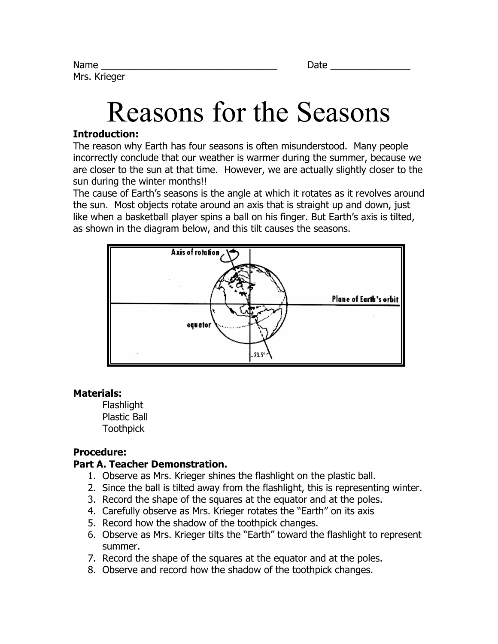# Reasons for the Seasons

### **Introduction:**

The reason why Earth has four seasons is often misunderstood. Many people incorrectly conclude that our weather is warmer during the summer, because we are closer to the sun at that time. However, we are actually slightly closer to the sun during the winter months!!

The cause of Earth's seasons is the angle at which it rotates as it revolves around the sun. Most objects rotate around an axis that is straight up and down, just like when a basketball player spins a ball on his finger. But Earth's axis is tilted, as shown in the diagram below, and this tilt causes the seasons.



#### **Materials:**

**Flashlight** Plastic Ball **Toothpick** 

# **Procedure:**

# **Part A. Teacher Demonstration.**

- 1. Observe as Mrs. Krieger shines the flashlight on the plastic ball.
- 2. Since the ball is tilted away from the flashlight, this is representing winter.
- 3. Record the shape of the squares at the equator and at the poles.
- 4. Carefully observe as Mrs. Krieger rotates the "Earth" on its axis
- 5. Record how the shadow of the toothpick changes.
- 6. Observe as Mrs. Krieger tilts the "Earth" toward the flashlight to represent summer.
- 7. Record the shape of the squares at the equator and at the poles.
- 8. Observe and record how the shadow of the toothpick changes.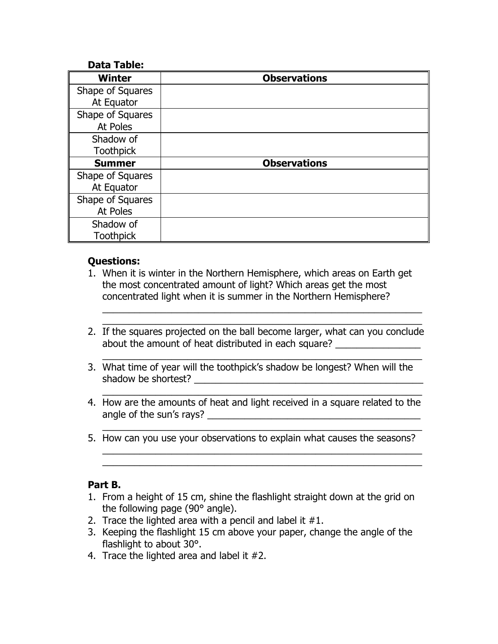#### **Data Table:**

| <b>Winter</b>    | <b>Observations</b> |
|------------------|---------------------|
| Shape of Squares |                     |
| At Equator       |                     |
| Shape of Squares |                     |
| At Poles         |                     |
| Shadow of        |                     |
| <b>Toothpick</b> |                     |
| <b>Summer</b>    | <b>Observations</b> |
| Shape of Squares |                     |
| At Equator       |                     |
| Shape of Squares |                     |
| At Poles         |                     |
| Shadow of        |                     |
| <b>Toothpick</b> |                     |

## **Questions:**

- 1. When it is winter in the Northern Hemisphere, which areas on Earth get the most concentrated amount of light? Which areas get the most concentrated light when it is summer in the Northern Hemisphere?
- 2. If the squares projected on the ball become larger, what can you conclude about the amount of heat distributed in each square?

 $\overline{a_1}$  ,  $\overline{a_2}$  ,  $\overline{a_3}$  ,  $\overline{a_4}$  ,  $\overline{a_5}$  ,  $\overline{a_6}$  ,  $\overline{a_7}$  ,  $\overline{a_8}$  ,  $\overline{a_9}$  ,  $\overline{a_9}$  ,  $\overline{a_1}$  ,  $\overline{a_2}$  ,  $\overline{a_3}$  ,  $\overline{a_4}$  ,  $\overline{a_5}$  ,  $\overline{a_7}$  ,  $\overline{a_8}$  ,

 $\overline{a_1}$  ,  $\overline{a_2}$  ,  $\overline{a_3}$  ,  $\overline{a_4}$  ,  $\overline{a_5}$  ,  $\overline{a_6}$  ,  $\overline{a_7}$  ,  $\overline{a_8}$  ,  $\overline{a_9}$  ,  $\overline{a_9}$  ,  $\overline{a_1}$  ,  $\overline{a_2}$  ,  $\overline{a_3}$  ,  $\overline{a_4}$  ,  $\overline{a_5}$  ,  $\overline{a_7}$  ,  $\overline{a_8}$  ,

 $\overline{a_1}$  ,  $\overline{a_2}$  ,  $\overline{a_3}$  ,  $\overline{a_4}$  ,  $\overline{a_5}$  ,  $\overline{a_6}$  ,  $\overline{a_7}$  ,  $\overline{a_8}$  ,  $\overline{a_9}$  ,  $\overline{a_9}$  ,  $\overline{a_1}$  ,  $\overline{a_2}$  ,  $\overline{a_3}$  ,  $\overline{a_4}$  ,  $\overline{a_5}$  ,  $\overline{a_7}$  ,  $\overline{a_8}$  ,

 $\overline{a_1}$  ,  $\overline{a_2}$  ,  $\overline{a_3}$  ,  $\overline{a_4}$  ,  $\overline{a_5}$  ,  $\overline{a_6}$  ,  $\overline{a_7}$  ,  $\overline{a_8}$  ,  $\overline{a_9}$  ,  $\overline{a_9}$  ,  $\overline{a_1}$  ,  $\overline{a_2}$  ,  $\overline{a_3}$  ,  $\overline{a_4}$  ,  $\overline{a_5}$  ,  $\overline{a_7}$  ,  $\overline{a_8}$  ,  $\overline{a_1}$  ,  $\overline{a_2}$  ,  $\overline{a_3}$  ,  $\overline{a_4}$  ,  $\overline{a_5}$  ,  $\overline{a_6}$  ,  $\overline{a_7}$  ,  $\overline{a_8}$  ,  $\overline{a_9}$  ,  $\overline{a_9}$  ,  $\overline{a_1}$  ,  $\overline{a_2}$  ,  $\overline{a_3}$  ,  $\overline{a_4}$  ,  $\overline{a_5}$  ,  $\overline{a_7}$  ,  $\overline{a_8}$  ,

 $\overline{a_1}$  ,  $\overline{a_2}$  ,  $\overline{a_3}$  ,  $\overline{a_4}$  ,  $\overline{a_5}$  ,  $\overline{a_6}$  ,  $\overline{a_7}$  ,  $\overline{a_8}$  ,  $\overline{a_9}$  ,  $\overline{a_9}$  ,  $\overline{a_1}$  ,  $\overline{a_2}$  ,  $\overline{a_3}$  ,  $\overline{a_4}$  ,  $\overline{a_5}$  ,  $\overline{a_7}$  ,  $\overline{a_8}$  ,  $\overline{a_1}$  ,  $\overline{a_2}$  ,  $\overline{a_3}$  ,  $\overline{a_4}$  ,  $\overline{a_5}$  ,  $\overline{a_6}$  ,  $\overline{a_7}$  ,  $\overline{a_8}$  ,  $\overline{a_9}$  ,  $\overline{a_9}$  ,  $\overline{a_1}$  ,  $\overline{a_2}$  ,  $\overline{a_3}$  ,  $\overline{a_4}$  ,  $\overline{a_5}$  ,  $\overline{a_7}$  ,  $\overline{a_8}$  ,

- 3. What time of year will the toothpick's shadow be longest? When will the shadow be shortest?
- 4. How are the amounts of heat and light received in a square related to the angle of the sun's rays? \_\_\_\_\_\_\_\_\_\_\_\_\_\_\_\_\_\_\_\_\_\_\_\_\_\_\_\_\_\_\_\_\_\_\_\_\_\_\_\_
- 5. How can you use your observations to explain what causes the seasons?

#### **Part B.**

- 1. From a height of 15 cm, shine the flashlight straight down at the grid on the following page (90° angle).
- 2. Trace the lighted area with a pencil and label it  $#1$ .
- 3. Keeping the flashlight 15 cm above your paper, change the angle of the flashlight to about 30°.
- 4. Trace the lighted area and label it #2.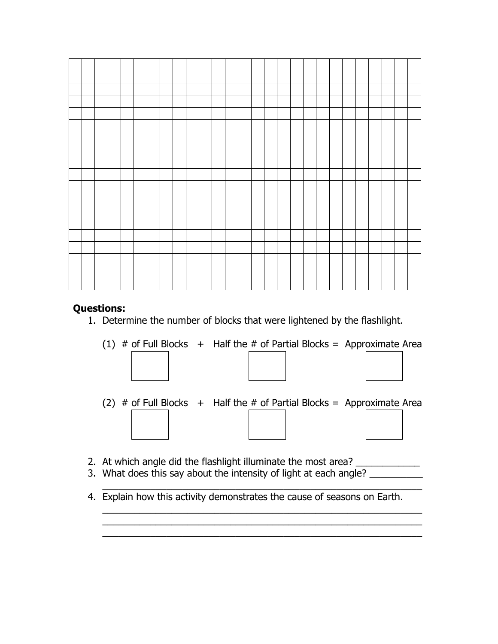## **Questions:**

1. Determine the number of blocks that were lightened by the flashlight.



(2)  $\#$  of Full Blocks  $+$  Half the  $\#$  of Partial Blocks = Approximate Area

 $\overline{a_1}$  ,  $\overline{a_2}$  ,  $\overline{a_3}$  ,  $\overline{a_4}$  ,  $\overline{a_5}$  ,  $\overline{a_6}$  ,  $\overline{a_7}$  ,  $\overline{a_8}$  ,  $\overline{a_9}$  ,  $\overline{a_9}$  ,  $\overline{a_1}$  ,  $\overline{a_2}$  ,  $\overline{a_3}$  ,  $\overline{a_4}$  ,  $\overline{a_5}$  ,  $\overline{a_7}$  ,  $\overline{a_8}$  ,

 $\overline{a_1}$  ,  $\overline{a_2}$  ,  $\overline{a_3}$  ,  $\overline{a_4}$  ,  $\overline{a_5}$  ,  $\overline{a_6}$  ,  $\overline{a_7}$  ,  $\overline{a_8}$  ,  $\overline{a_9}$  ,  $\overline{a_9}$  ,  $\overline{a_1}$  ,  $\overline{a_2}$  ,  $\overline{a_3}$  ,  $\overline{a_4}$  ,  $\overline{a_5}$  ,  $\overline{a_7}$  ,  $\overline{a_8}$  ,  $\overline{a_1}$  ,  $\overline{a_2}$  ,  $\overline{a_3}$  ,  $\overline{a_4}$  ,  $\overline{a_5}$  ,  $\overline{a_6}$  ,  $\overline{a_7}$  ,  $\overline{a_8}$  ,  $\overline{a_9}$  ,  $\overline{a_9}$  ,  $\overline{a_1}$  ,  $\overline{a_2}$  ,  $\overline{a_3}$  ,  $\overline{a_4}$  ,  $\overline{a_5}$  ,  $\overline{a_7}$  ,  $\overline{a_8}$  ,  $\overline{a_1}$  ,  $\overline{a_2}$  ,  $\overline{a_3}$  ,  $\overline{a_4}$  ,  $\overline{a_5}$  ,  $\overline{a_6}$  ,  $\overline{a_7}$  ,  $\overline{a_8}$  ,  $\overline{a_9}$  ,  $\overline{a_9}$  ,  $\overline{a_1}$  ,  $\overline{a_2}$  ,  $\overline{a_3}$  ,  $\overline{a_4}$  ,  $\overline{a_5}$  ,  $\overline{a_7}$  ,  $\overline{a_8}$  ,

- 2. At which angle did the flashlight illuminate the most area?
- 3. What does this say about the intensity of light at each angle? \_\_\_\_\_\_\_\_\_\_\_\_\_\_
- 4. Explain how this activity demonstrates the cause of seasons on Earth.